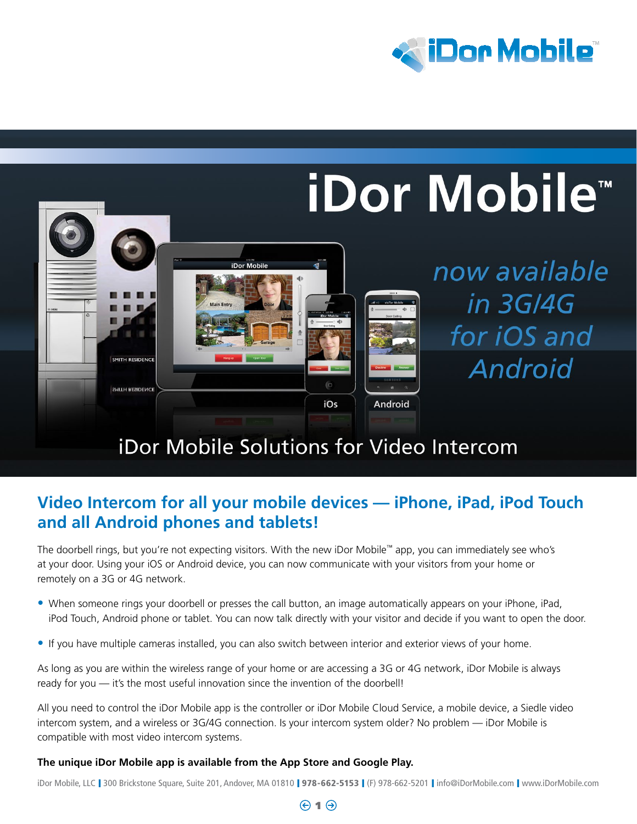



# iDor Mobile Solutions for Video Intercom

## **Video Intercom for all your mobile devices — iPhone, iPad, iPod Touch and all Android phones and tablets!**

The doorbell rings, but you're not expecting visitors. With the new iDor Mobile™ app, you can immediately see who's at your door. Using your iOS or Android device, you can now communicate with your visitors from your home or remotely on a 3G or 4G network.

- When someone rings your doorbell or presses the call button, an image automatically appears on your iPhone, iPad, iPod Touch, Android phone or tablet. You can now talk directly with your visitor and decide if you want to open the door.
- If you have multiple cameras installed, you can also switch between interior and exterior views of your home.

As long as you are within the wireless range of your home or are accessing a 3G or 4G network, iDor Mobile is always ready for you — it's the most useful innovation since the invention of the doorbell!

All you need to control the iDor Mobile app is the controller or iDor Mobile Cloud Service, a mobile device, a Siedle video intercom system, and a wireless or 3G/4G connection. Is your intercom system older? No problem — iDor Mobile is compatible with most video intercom systems.

#### **The unique iDor Mobile app is available from the App Store and Google Play.**

iDor Mobile, LLC | 300 Brickstone Square, Suite 201, Andover, MA 01810 | 978-662-5153 | (F) 978-662-5201 | info@iDorMobile.com | www.iDorMobile.com

#### $\Theta$  1 $\Theta$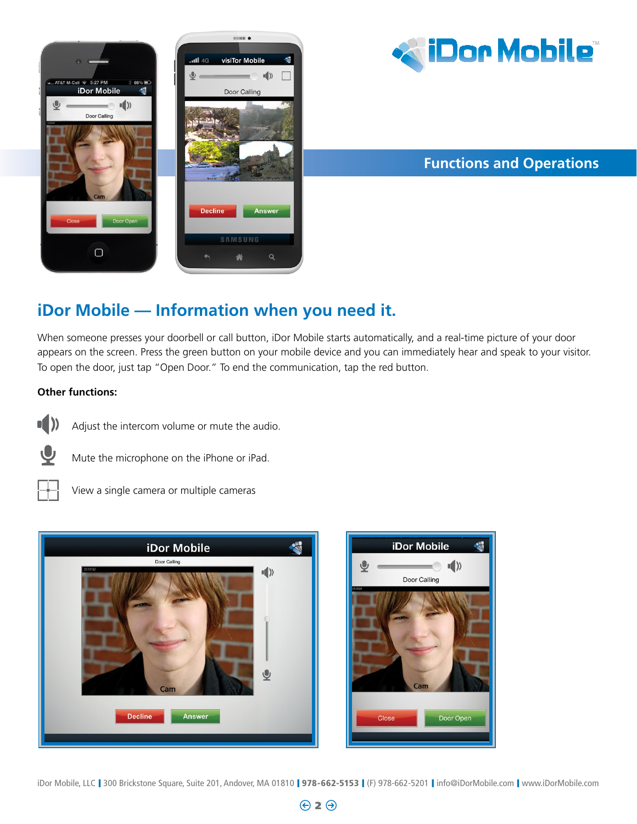



## **Functions and Operations**

Door Open

## **iDor Mobile — Information when you need it.**

When someone presses your doorbell or call button, iDor Mobile starts automatically, and a real-time picture of your door appears on the screen. Press the green button on your mobile device and you can immediately hear and speak to your visitor. To open the door, just tap "Open Door." To end the communication, tap the red button.

#### **Other functions:**



Adjust the intercom volume or mute the audio.



Mute the microphone on the iPhone or iPad.



View a single camera or multiple cameras



iDor Mobile, LLC | 300 Brickstone Square, Suite 201, Andover, MA 01810 | 978-662-5153 | (F) 978-662-5201 | info@iDorMobile.com | www.iDorMobile.com

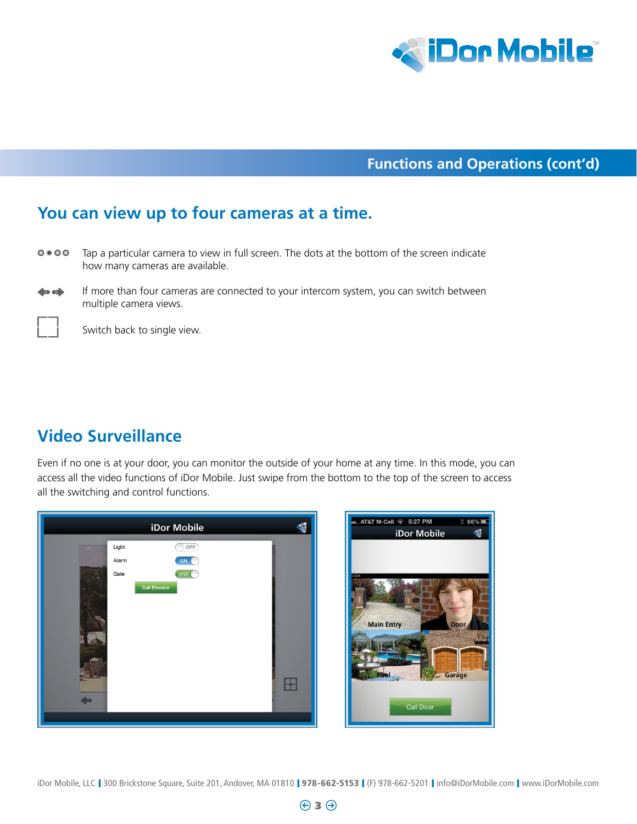

### **Functions and Operations (cont'd)**

### **You can view up to four cameras at a time.**

- $0 0 0 0$ Tap a particular camera to view in full screen. The dots at the bottom of the screen indicate how many cameras are available.
- $\bullet$ If more than four cameras are connected to your intercom system, you can switch between multiple camera views.

Switch back to single view.

## **Video Surveillance**

Even if no one is at your door, you can monitor the outside of your home at any time. In this mode, you can access all the video functions of iDor Mobile. Just swipe from the bottom to the top of the screen to access all the switching and control functions.



iDor Mobile, LLC | 300 Brickstone Square, Suite 201, Andover, MA 01810 | 978-662-5153 | (F) 978-662-5201 | info@iDorMobile.com | www.iDorMobile.com

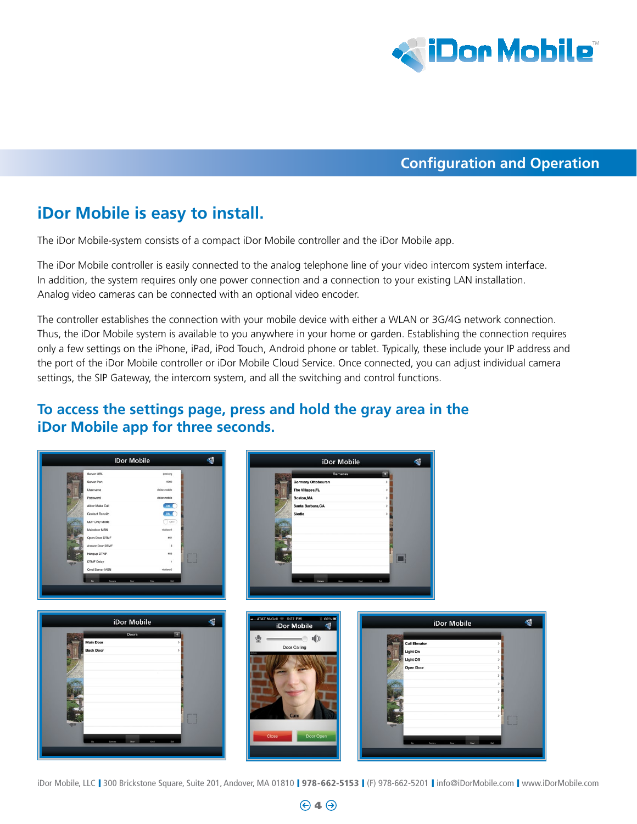

#### **Configuration and Operation**

## **iDor Mobile is easy to install.**

The iDor Mobile-system consists of a compact iDor Mobile controller and the iDor Mobile app.

The iDor Mobile controller is easily connected to the analog telephone line of your video intercom system interface. In addition, the system requires only one power connection and a connection to your existing LAN installation. Analog video cameras can be connected with an optional video encoder.

The controller establishes the connection with your mobile device with either a WLAN or 3G/4G network connection. Thus, the iDor Mobile system is available to you anywhere in your home or garden. Establishing the connection requires only a few settings on the iPhone, iPad, iPod Touch, Android phone or tablet. Typically, these include your IP address and the port of the iDor Mobile controller or iDor Mobile Cloud Service. Once connected, you can adjust individual camera settings, the SIP Gateway, the intercom system, and all the switching and control functions.

### **To access the settings page, press and hold the gray area in the iDor Mobile app for three seconds.**



iDor Mobile, LLC | 300 Brickstone Square, Suite 201, Andover, MA 01810 | 978-662-5153 | (F) 978-662-5201 | info@iDorMobile.com | www.iDorMobile.com

 $\Theta$ 4 $\Theta$